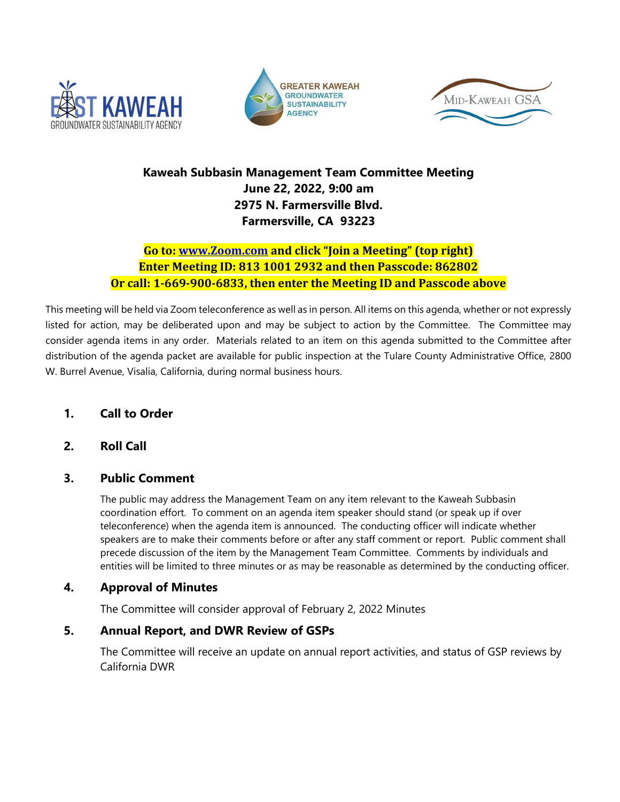





# Kaweah Subbasin Management Team Committee Meeting June 22, 2022, 9:00 am 2975 N. Farmersville Blvd. Farmersville, CA 93223

# Go to: www.Zoom.com and click "Join a Meeting" (top right) Enter Meeting ID: 813 1001 2932 and then Passcode: 862802 Or call: 1-669-900-6833, then enter the Meeting ID and Passcode above

This meeting will be held via Zoom teleconference as well as in person. All items on this agenda, whether or not expressly listed for action, may be deliberated upon and may be subject to action by the Committee. The Committee may consider agenda items in any order. Materials related to an item on this agenda submitted to the Committee after distribution of the agenda packet are available for public inspection at the Tulare County Administrative Office, 2800 W. Burrel Avenue, Visalia, California, during normal business hours.

- 1. Call to Order
- 2. Roll Call

# 3. Public Comment

The public may address the Management Team on any item relevant to the Kaweah Subbasin coordination effort. To comment on an agenda item speaker should stand (or speak up if over teleconference) when the agenda item is announced. The conducting officer will indicate whether speakers are to make their comments before or after any staff comment or report. Public comment shall precede discussion of the item by the Management Team Committee. Comments by individuals and entities will be limited to three minutes or as may be reasonable as determined by the conducting officer.

# 4. Approval of Minutes

The Committee will consider approval of February 2, 2022 Minutes

#### 5. Annual Report, and DWR Review of GSPs

The Committee will receive an update on annual report activities, and status of GSP reviews by California DWR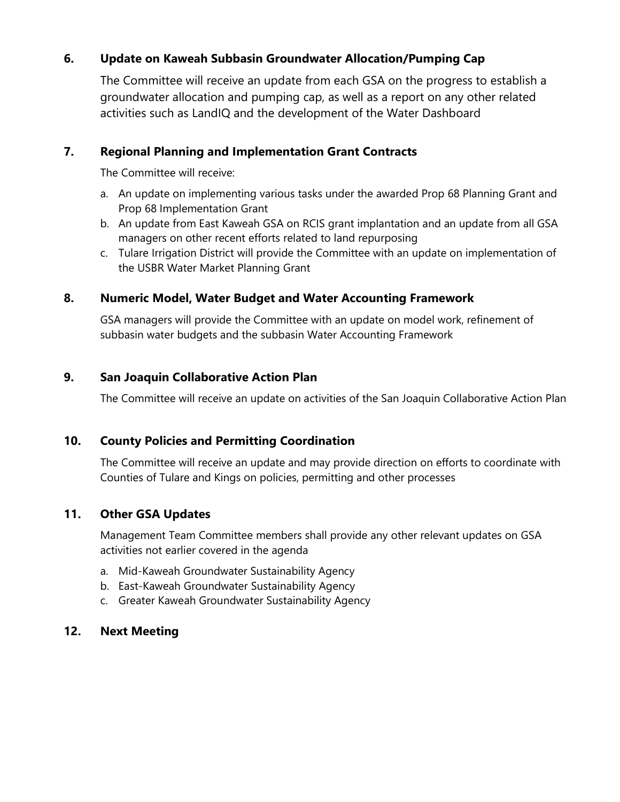# 6. Update on Kaweah Subbasin Groundwater Allocation/Pumping Cap

The Committee will receive an update from each GSA on the progress to establish a groundwater allocation and pumping cap, as well as a report on any other related activities such as LandIQ and the development of the Water Dashboard

## 7. Regional Planning and Implementation Grant Contracts

The Committee will receive:

- a. An update on implementing various tasks under the awarded Prop 68 Planning Grant and Prop 68 Implementation Grant
- b. An update from East Kaweah GSA on RCIS grant implantation and an update from all GSA managers on other recent efforts related to land repurposing
- c. Tulare Irrigation District will provide the Committee with an update on implementation of the USBR Water Market Planning Grant

## 8. Numeric Model, Water Budget and Water Accounting Framework

GSA managers will provide the Committee with an update on model work, refinement of subbasin water budgets and the subbasin Water Accounting Framework

## 9. San Joaquin Collaborative Action Plan

The Committee will receive an update on activities of the San Joaquin Collaborative Action Plan

#### 10. County Policies and Permitting Coordination

The Committee will receive an update and may provide direction on efforts to coordinate with Counties of Tulare and Kings on policies, permitting and other processes

#### 11. Other GSA Updates

Management Team Committee members shall provide any other relevant updates on GSA activities not earlier covered in the agenda

- a. Mid-Kaweah Groundwater Sustainability Agency
- b. East-Kaweah Groundwater Sustainability Agency
- c. Greater Kaweah Groundwater Sustainability Agency

#### 12. Next Meeting